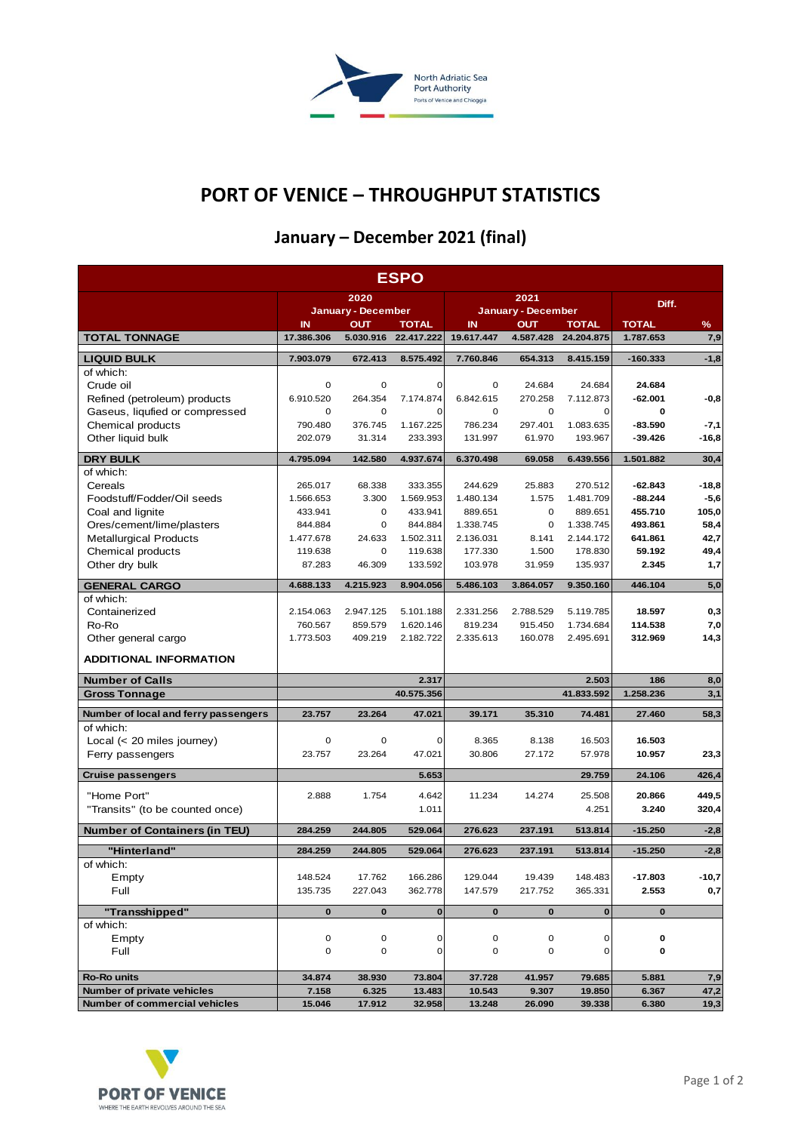

## **PORT OF VENICE – THROUGHPUT STATISTICS**

## **January – December 2021 (final)**

| <b>ESPO</b>                          |                            |                  |                            |                           |                  |                            |                           |             |  |  |  |
|--------------------------------------|----------------------------|------------------|----------------------------|---------------------------|------------------|----------------------------|---------------------------|-------------|--|--|--|
|                                      | 2020                       |                  |                            |                           | 2021             | Diff.                      |                           |             |  |  |  |
|                                      | <b>January - December</b>  |                  |                            | <b>January - December</b> |                  |                            |                           |             |  |  |  |
| <b>TOTAL TONNAGE</b>                 | $\mathbf{I}$<br>17.386.306 | ουτ<br>5.030.916 | <b>TOTAL</b><br>22.417.222 | IN<br>19.617.447          | ουτ<br>4.587.428 | <b>TOTAL</b><br>24.204.875 | <b>TOTAL</b><br>1.787.653 | $\%$<br>7,9 |  |  |  |
| <b>LIQUID BULK</b>                   | 7.903.079                  | 672.413          | 8.575.492                  | 7.760.846                 | 654.313          | 8.415.159                  | $-160.333$                | $-1,8$      |  |  |  |
| of which:                            |                            |                  |                            |                           |                  |                            |                           |             |  |  |  |
| Crude oil                            | 0                          | 0                | 0                          | 0                         | 24.684           | 24.684                     | 24.684                    |             |  |  |  |
| Refined (petroleum) products         | 6.910.520                  | 264.354          | 7.174.874                  | 6.842.615                 | 270.258          | 7.112.873                  | $-62.001$                 | $-0,8$      |  |  |  |
| Gaseus, liqufied or compressed       | 0                          | $\mathbf 0$      | 0                          | 0                         | 0                | 0                          | 0                         |             |  |  |  |
| Chemical products                    | 790.480                    | 376.745          | 1.167.225                  | 786.234                   | 297.401          | 1.083.635                  | $-83.590$                 | -7,1        |  |  |  |
| Other liquid bulk                    | 202.079                    | 31.314           | 233.393                    | 131.997                   | 61.970           | 193.967                    | -39.426                   | $-16,8$     |  |  |  |
| <b>DRY BULK</b>                      | 4.795.094                  | 142.580          | 4.937.674                  | 6.370.498                 | 69.058           | 6.439.556                  | 1.501.882                 | 30,4        |  |  |  |
| of which:                            |                            |                  |                            |                           |                  |                            |                           |             |  |  |  |
| Cereals                              | 265.017                    | 68.338           | 333.355                    | 244.629                   | 25.883           | 270.512                    | $-62.843$                 | $-18,8$     |  |  |  |
| Foodstuff/Fodder/Oil seeds           | 1.566.653                  | 3.300            | 1.569.953                  | 1.480.134                 | 1.575            | 1.481.709                  | $-88.244$                 | $-5,6$      |  |  |  |
| Coal and lignite                     | 433.941                    | 0                | 433.941                    | 889.651                   | $\mathbf 0$      | 889.651                    | 455.710                   | 105,0       |  |  |  |
| Ores/cement/lime/plasters            | 844.884                    | 0                | 844.884                    | 1.338.745                 | 0                | 1.338.745                  | 493.861                   | 58,4        |  |  |  |
| <b>Metallurgical Products</b>        | 1.477.678                  | 24.633           | 1.502.311                  | 2.136.031                 | 8.141            | 2.144.172                  | 641.861                   | 42,7        |  |  |  |
| Chemical products                    | 119.638                    | 0                | 119.638                    | 177.330                   | 1.500            | 178.830                    | 59.192                    | 49,4        |  |  |  |
| Other dry bulk                       | 87.283                     | 46.309           | 133.592                    | 103.978                   | 31.959           | 135.937                    | 2.345                     | 1,7         |  |  |  |
| <b>GENERAL CARGO</b>                 | 4.688.133                  | 4.215.923        | 8.904.056                  | 5.486.103                 | 3.864.057        | 9.350.160                  | 446.104                   | 5,0         |  |  |  |
| of which:                            |                            |                  |                            |                           |                  |                            |                           |             |  |  |  |
| Containerized                        | 2.154.063                  | 2.947.125        | 5.101.188                  | 2.331.256                 | 2.788.529        | 5.119.785                  | 18.597                    | 0,3         |  |  |  |
| Ro-Ro                                | 760.567                    | 859.579          | 1.620.146                  | 819.234                   | 915.450          | 1.734.684                  | 114.538                   | 7,0         |  |  |  |
| Other general cargo                  | 1.773.503                  | 409.219          | 2.182.722                  | 2.335.613                 | 160.078          | 2.495.691                  | 312.969                   | 14,3        |  |  |  |
| <b>ADDITIONAL INFORMATION</b>        |                            |                  |                            |                           |                  |                            |                           |             |  |  |  |
| <b>Number of Calls</b>               |                            |                  | 2.317                      |                           |                  | 2.503                      | 186                       | 8,0         |  |  |  |
| <b>Gross Tonnage</b>                 |                            |                  | 40.575.356                 |                           |                  | 41.833.592                 | 1.258.236                 | 3,1         |  |  |  |
| Number of local and ferry passengers | 23.757                     | 23.264           | 47.021                     | 39.171                    | 35.310           | 74.481                     | 27.460                    | 58,3        |  |  |  |
| of which:                            |                            |                  |                            |                           |                  |                            |                           |             |  |  |  |
| Local $(< 20$ miles journey)         | 0                          | 0                | 0                          | 8.365                     | 8.138            | 16.503                     | 16.503                    |             |  |  |  |
| Ferry passengers                     | 23.757                     | 23.264           | 47.021                     | 30.806                    | 27.172           | 57.978                     | 10.957                    | 23,3        |  |  |  |
|                                      |                            |                  |                            |                           |                  |                            |                           |             |  |  |  |
| <b>Cruise passengers</b>             |                            |                  | 5.653                      |                           |                  | 29.759                     | 24.106                    | 426,4       |  |  |  |
| "Home Port"                          | 2.888                      | 1.754            | 4.642                      | 11.234                    | 14.274           | 25.508                     | 20.866                    | 449,5       |  |  |  |
| "Transits" (to be counted once)      |                            |                  | 1.011                      |                           |                  | 4.251                      | 3.240                     | 320,4       |  |  |  |
| <b>Number of Containers (in TEU)</b> | 284.259                    | 244.805          | 529.064                    | 276.623                   | 237.191          | 513.814                    | $-15.250$                 | $-2,8$      |  |  |  |
| "Hinterland"                         | 284.259                    | 244.805          | 529.064                    | 276.623                   | 237.191          | 513.814                    | $-15.250$                 | $-2,8$      |  |  |  |
| of which:                            |                            |                  |                            |                           |                  |                            |                           |             |  |  |  |
| Empty                                | 148.524                    | 17.762           | 166.286                    | 129.044                   | 19.439           | 148.483                    | $-17.803$                 | $-10,7$     |  |  |  |
| Full                                 | 135.735                    | 227.043          | 362.778                    | 147.579                   | 217.752          | 365.331                    | 2.553                     | 0,7         |  |  |  |
|                                      |                            |                  |                            |                           |                  |                            |                           |             |  |  |  |
| "Transshipped"                       | $\bf{0}$                   | $\bf{0}$         | $\mathbf{0}$               | $\mathbf 0$               | $\bf{0}$         | $\bf{0}$                   | $\bf{0}$                  |             |  |  |  |
| of which:                            |                            |                  |                            |                           |                  |                            |                           |             |  |  |  |
| Empty<br>Full                        | $\mathsf 0$<br>0           | 0                | 0                          | 0                         | 0                | 0<br>0                     | 0<br>0                    |             |  |  |  |
|                                      |                            | 0                | $\overline{0}$             | 0                         | $\mathsf 0$      |                            |                           |             |  |  |  |
| <b>Ro-Ro units</b>                   | 34.874                     | 38.930           | 73.804                     | 37.728                    | 41.957           | 79.685                     | 5.881                     | 7,9         |  |  |  |
| Number of private vehicles           | 7.158                      | 6.325            | 13.483                     | 10.543                    | 9.307            | 19.850                     | 6.367                     | 47,2        |  |  |  |
| Number of commercial vehicles        | 15.046                     | 17.912           | 32.958                     | 13.248                    | 26.090           | 39.338                     | 6.380                     | 19,3        |  |  |  |